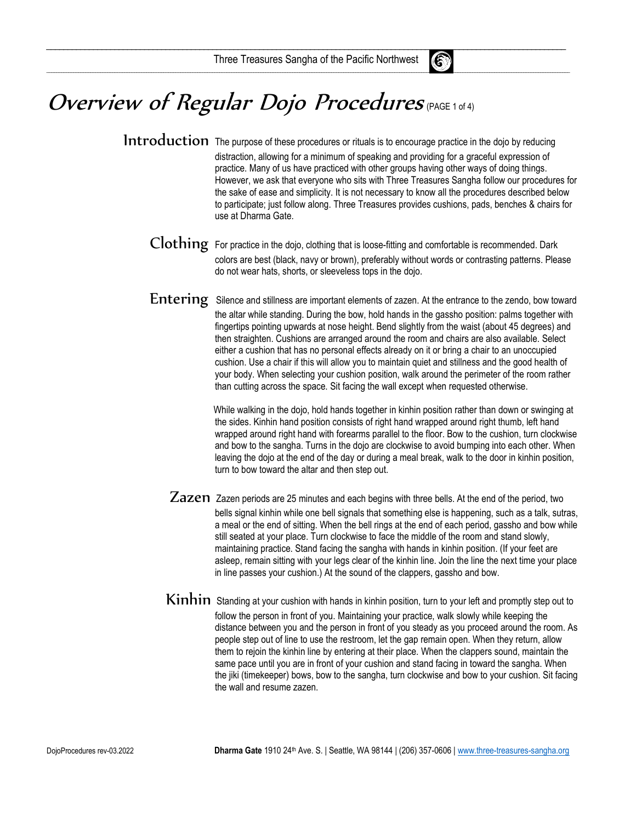

## Overview of Regular Dojo Procedures (PAGE 1 of 4)

Introduction The purpose of these procedures or rituals is to encourage practice in the dojo by reducing distraction, allowing for a minimum of speaking and providing for a graceful expression of practice. Many of us have practiced with other groups having other ways of doing things. However, we ask that everyone who sits with Three Treasures Sangha follow our procedures for the sake of ease and simplicity. It is not necessary to know all the procedures described below to participate; just follow along. Three Treasures provides cushions, pads, benches & chairs for use at Dharma Gate.

- Clothing For practice in the dojo, clothing that is loose-fitting and comfortable is recommended. Dark colors are best (black, navy or brown), preferably without words or contrasting patterns. Please do not wear hats, shorts, or sleeveless tops in the dojo.
- Entering Silence and stillness are important elements of zazen. At the entrance to the zendo, bow toward the altar while standing. During the bow, hold hands in the gassho position: palms together with fingertips pointing upwards at nose height. Bend slightly from the waist (about 45 degrees) and then straighten. Cushions are arranged around the room and chairs are also available. Select either a cushion that has no personal effects already on it or bring a chair to an unoccupied cushion. Use a chair if this will allow you to maintain quiet and stillness and the good health of your body. When selecting your cushion position, walk around the perimeter of the room rather than cutting across the space. Sit facing the wall except when requested otherwise.

 While walking in the dojo, hold hands together in kinhin position rather than down or swinging at the sides. Kinhin hand position consists of right hand wrapped around right thumb, left hand wrapped around right hand with forearms parallel to the floor. Bow to the cushion, turn clockwise and bow to the sangha. Turns in the dojo are clockwise to avoid bumping into each other. When leaving the dojo at the end of the day or during a meal break, walk to the door in kinhin position, turn to bow toward the altar and then step out.

- Zazen Zazen periods are 25 minutes and each begins with three bells. At the end of the period, two bells signal kinhin while one bell signals that something else is happening, such as a talk, sutras, a meal or the end of sitting. When the bell rings at the end of each period, gassho and bow while still seated at your place. Turn clockwise to face the middle of the room and stand slowly, maintaining practice. Stand facing the sangha with hands in kinhin position. (If your feet are asleep, remain sitting with your legs clear of the kinhin line. Join the line the next time your place in line passes your cushion.) At the sound of the clappers, gassho and bow.
- Kinhin Standing at your cushion with hands in kinhin position, turn to your left and promptly step out to follow the person in front of you. Maintaining your practice, walk slowly while keeping the distance between you and the person in front of you steady as you proceed around the room. As people step out of line to use the restroom, let the gap remain open. When they return, allow them to rejoin the kinhin line by entering at their place. When the clappers sound, maintain the same pace until you are in front of your cushion and stand facing in toward the sangha. When the jiki (timekeeper) bows, bow to the sangha, turn clockwise and bow to your cushion. Sit facing the wall and resume zazen.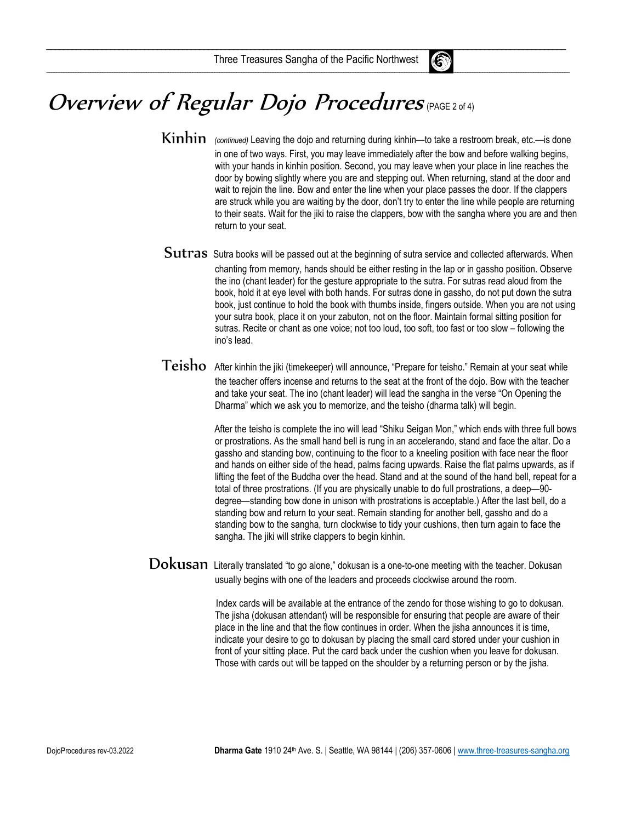$\mathcal{L}_\text{max}$  . The contract of the contract of the contract of the contract of  $\mathcal{L}_\text{max}$  ,  $\mathcal{L}_\text{max}$  , and the contract of the contract of the contract of the contract of the contract of the contract of the contr

\_\_\_\_\_\_\_\_\_\_\_\_\_\_\_\_\_\_\_\_\_\_\_\_\_\_\_\_\_\_\_\_\_\_\_\_\_\_\_\_\_\_\_\_\_\_\_\_\_\_\_\_\_\_\_\_\_\_\_\_\_\_\_\_\_\_\_\_\_\_\_\_\_\_\_\_\_\_\_\_\_\_\_\_\_\_\_\_\_\_\_\_\_\_\_\_\_\_\_\_\_\_\_\_\_\_\_\_\_\_\_\_\_\_\_\_\_\_\_\_\_\_\_\_\_\_\_\_\_\_\_\_\_\_\_\_\_\_\_\_\_\_\_\_\_\_\_\_\_\_\_\_\_\_\_\_\_\_\_\_\_\_\_\_\_\_\_\_\_\_\_\_\_\_\_\_\_\_\_\_\_\_\_\_\_\_\_\_\_\_\_\_\_\_\_\_\_\_\_\_\_\_\_\_\_\_\_\_\_\_\_\_\_\_\_



- Kinhin (continued) Leaving the dojo and returning during kinhin—to take a restroom break, etc.—is done in one of two ways. First, you may leave immediately after the bow and before walking begins, with your hands in kinhin position. Second, you may leave when your place in line reaches the door by bowing slightly where you are and stepping out. When returning, stand at the door and wait to rejoin the line. Bow and enter the line when your place passes the door. If the clappers are struck while you are waiting by the door, don't try to enter the line while people are returning to their seats. Wait for the jiki to raise the clappers, bow with the sangha where you are and then return to your seat.
- Sutras Sutra books will be passed out at the beginning of sutra service and collected afterwards. When chanting from memory, hands should be either resting in the lap or in gassho position. Observe the ino (chant leader) for the gesture appropriate to the sutra. For sutras read aloud from the book, hold it at eye level with both hands. For sutras done in gassho, do not put down the sutra book, just continue to hold the book with thumbs inside, fingers outside. When you are not using your sutra book, place it on your zabuton, not on the floor. Maintain formal sitting position for sutras. Recite or chant as one voice; not too loud, too soft, too fast or too slow – following the ino's lead.
- Teisho After kinhin the jiki (timekeeper) will announce, "Prepare for teisho." Remain at your seat while the teacher offers incense and returns to the seat at the front of the dojo. Bow with the teacher and take your seat. The ino (chant leader) will lead the sangha in the verse "On Opening the Dharma" which we ask you to memorize, and the teisho (dharma talk) will begin.

 After the teisho is complete the ino will lead "Shiku Seigan Mon," which ends with three full bows or prostrations. As the small hand bell is rung in an accelerando, stand and face the altar. Do a gassho and standing bow, continuing to the floor to a kneeling position with face near the floor and hands on either side of the head, palms facing upwards. Raise the flat palms upwards, as if lifting the feet of the Buddha over the head. Stand and at the sound of the hand bell, repeat for a total of three prostrations. (If you are physically unable to do full prostrations, a deep—90 degree—standing bow done in unison with prostrations is acceptable.) After the last bell, do a standing bow and return to your seat. Remain standing for another bell, gassho and do a standing bow to the sangha, turn clockwise to tidy your cushions, then turn again to face the sangha. The jiki will strike clappers to begin kinhin.

Dokusan Literally translated "to go alone," dokusan is a one-to-one meeting with the teacher. Dokusan usually begins with one of the leaders and proceeds clockwise around the room.

> Index cards will be available at the entrance of the zendo for those wishing to go to dokusan. The jisha (dokusan attendant) will be responsible for ensuring that people are aware of their place in the line and that the flow continues in order. When the jisha announces it is time, indicate your desire to go to dokusan by placing the small card stored under your cushion in front of your sitting place. Put the card back under the cushion when you leave for dokusan. Those with cards out will be tapped on the shoulder by a returning person or by the jisha.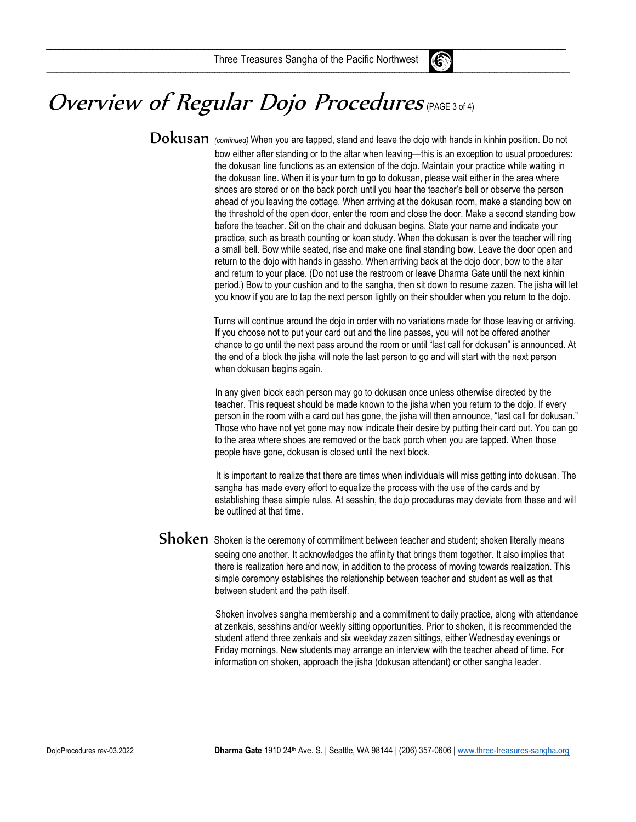$\mathcal{L}_\text{max}$  . The contract of the contract of the contract of the contract of  $\mathcal{L}_\text{max}$  ,  $\mathcal{L}_\text{max}$  , and the contract of the contract of the contract of the contract of the contract of the contract of the contr

\_\_\_\_\_\_\_\_\_\_\_\_\_\_\_\_\_\_\_\_\_\_\_\_\_\_\_\_\_\_\_\_\_\_\_\_\_\_\_\_\_\_\_\_\_\_\_\_\_\_\_\_\_\_\_\_\_\_\_\_\_\_\_\_\_\_\_\_\_\_\_\_\_\_\_\_\_\_\_\_\_\_\_\_\_\_\_\_\_\_\_\_\_\_\_\_\_\_\_\_\_\_\_\_\_\_\_\_\_\_\_\_\_\_\_\_\_\_\_\_\_\_\_\_\_\_\_\_\_\_\_\_\_\_\_\_\_\_\_\_\_\_\_\_\_\_\_\_\_\_\_\_\_\_\_\_\_\_\_\_\_\_\_\_\_\_\_\_\_\_\_\_\_\_\_\_\_\_\_\_\_\_\_\_\_\_\_\_\_\_\_\_\_\_\_\_\_\_\_\_\_\_\_\_\_\_\_\_\_\_\_\_\_\_\_

## Overview of Regular Dojo Procedures (PAGE 3 of 4)

 $\rm Dokusan$  (continued) When you are tapped, stand and leave the dojo with hands in kinhin position. Do not bow either after standing or to the altar when leaving—this is an exception to usual procedures: the dokusan line functions as an extension of the dojo. Maintain your practice while waiting in the dokusan line. When it is your turn to go to dokusan, please wait either in the area where shoes are stored or on the back porch until you hear the teacher's bell or observe the person ahead of you leaving the cottage. When arriving at the dokusan room, make a standing bow on the threshold of the open door, enter the room and close the door. Make a second standing bow before the teacher. Sit on the chair and dokusan begins. State your name and indicate your practice, such as breath counting or koan study. When the dokusan is over the teacher will ring a small bell. Bow while seated, rise and make one final standing bow. Leave the door open and return to the dojo with hands in gassho. When arriving back at the dojo door, bow to the altar and return to your place. (Do not use the restroom or leave Dharma Gate until the next kinhin period.) Bow to your cushion and to the sangha, then sit down to resume zazen. The jisha will let you know if you are to tap the next person lightly on their shoulder when you return to the dojo.

> Turns will continue around the dojo in order with no variations made for those leaving or arriving. If you choose not to put your card out and the line passes, you will not be offered another chance to go until the next pass around the room or until "last call for dokusan" is announced. At the end of a block the jisha will note the last person to go and will start with the next person when dokusan begins again.

> In any given block each person may go to dokusan once unless otherwise directed by the teacher. This request should be made known to the jisha when you return to the dojo. If every person in the room with a card out has gone, the jisha will then announce, "last call for dokusan." Those who have not yet gone may now indicate their desire by putting their card out. You can go to the area where shoes are removed or the back porch when you are tapped. When those people have gone, dokusan is closed until the next block.

> It is important to realize that there are times when individuals will miss getting into dokusan. The sangha has made every effort to equalize the process with the use of the cards and by establishing these simple rules. At sesshin, the dojo procedures may deviate from these and will be outlined at that time.

Shoken Shoken is the ceremony of commitment between teacher and student; shoken literally means seeing one another. It acknowledges the affinity that brings them together. It also implies that there is realization here and now, in addition to the process of moving towards realization. This simple ceremony establishes the relationship between teacher and student as well as that between student and the path itself.

> Shoken involves sangha membership and a commitment to daily practice, along with attendance at zenkais, sesshins and/or weekly sitting opportunities. Prior to shoken, it is recommended the student attend three zenkais and six weekday zazen sittings, either Wednesday evenings or Friday mornings. New students may arrange an interview with the teacher ahead of time. For information on shoken, approach the jisha (dokusan attendant) or other sangha leader.